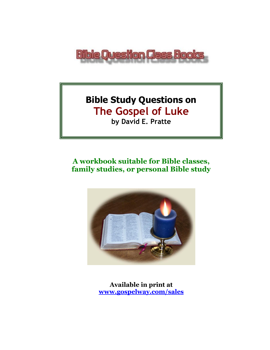

# **Bible Study Questions on The Gospel of Luke**

**by David E. Pratte**

# **A workbook suitable for Bible classes, family studies, or personal Bible study**



**Available in print at [www.gospelway.com/sales](https://www.gospelway.com/sales)**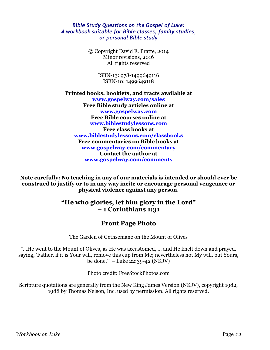#### *Bible Study Questions on the Gospel of Luke: A workbook suitable for Bible classes, family studies, or personal Bible study*

© Copyright David E. Pratte, 2014 Minor revisions, 2016 All rights reserved

> ISBN-13: 978-1499649116 ISBN-10: 1499649118

**Printed books, booklets, and tracts available at [www.gospelway.com/sales](https://www.gospelway.com/sales) Free Bible study articles online at [www.gospelway.com](http://www.gospelway.com/) Free Bible courses online at [www.biblestudylessons.com](http://www.biblestudylessons.com/) Free class books at [www.biblestudylessons.com/classbooks](http://www.biblestudylessons.com/classbooks) Free commentaries on Bible books at [www.gospelway.com/commentary](http://www.gospelway.com/commentary) Contact the author at [www.gospelway.com/comments](http://www.gospelway.com/comments)**

**Note carefully: No teaching in any of our materials is intended or should ever be construed to justify or to in any way incite or encourage personal vengeance or physical violence against any person.**

### **"He who glories, let him glory in the Lord" – 1 Corinthians 1:31**

### **Front Page Photo**

The Garden of Gethsemane on the Mount of Olives

"…He went to the Mount of Olives, as He was accustomed, … and He knelt down and prayed, saying, 'Father, if it is Your will, remove this cup from Me; nevertheless not My will, but Yours, be done.'" – Luke 22:39-42 (NKJV)

Photo credit: FreeStockPhotos.com

Scripture quotations are generally from the New King James Version (NKJV), copyright 1982, 1988 by Thomas Nelson, Inc. used by permission. All rights reserved.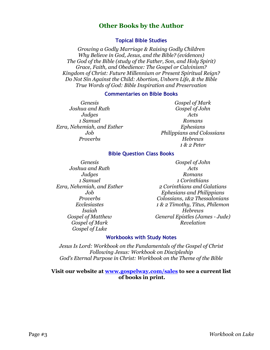### **Other Books by the Author**

#### **Topical Bible Studies**

*Growing a Godly Marriage & Raising Godly Children Why Believe in God, Jesus, and the Bible? (evidences) The God of the Bible (study of the Father, Son, and Holy Spirit) Grace, Faith, and Obedience: The Gospel or Calvinism? Kingdom of Christ: Future Millennium or Present Spiritual Reign? Do Not Sin Against the Child: Abortion, Unborn Life, & the Bible True Words of God: Bible Inspiration and Preservation*

#### **Commentaries on Bible Books**

*Genesis Joshua and Ruth Judges 1 Samuel Ezra, Nehemiah, and Esther Job Proverbs*

*Gospel of Mark Gospel of John Acts Romans Ephesians Philippians and Colossians Hebrews 1 & 2 Peter*

#### **Bible Question Class Books**

*Genesis Joshua and Ruth Judges 1 Samuel Ezra, Nehemiah, and Esther Job Proverbs Ecclesiastes Isaiah Gospel of Matthew Gospel of Mark Gospel of Luke*

*Gospel of John Acts Romans 1 Corinthians 2 Corinthians and Galatians Ephesians and Philippians Colossians, 1&2 Thessalonians 1 & 2 Timothy, Titus, Philemon Hebrews General Epistles (James - Jude) Revelation*

#### **Workbooks with Study Notes**

*Jesus Is Lord: Workbook on the Fundamentals of the Gospel of Christ Following Jesus: Workbook on Discipleship God's Eternal Purpose in Christ: Workbook on the Theme of the Bible*

#### **Visit our website at [www.gospelway.com/sales](https://www.gospelway.com/sales) to see a current list of books in print.**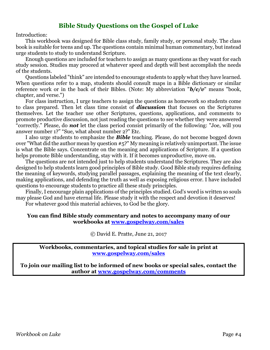### **Bible Study Questions on the Gospel of Luke**

Introduction:

This workbook was designed for Bible class study, family study, or personal study. The class book is suitable for teens and up. The questions contain minimal human commentary, but instead urge students to study to understand Scripture.

Enough questions are included for teachers to assign as many questions as they want for each study session. Studies may proceed at whatever speed and depth will best accomplish the needs of the students.

Questions labeled "think" are intended to encourage students to apply what they have learned. When questions refer to a map, students should consult maps in a Bible dictionary or similar reference work or in the back of their Bibles. (Note: My abbreviation "*b/c/v*" means "book, chapter, and verse.")

For class instruction, I urge teachers to assign the questions as homework so students come to class prepared. Then let class time consist of *discussion* that focuses on the Scriptures themselves. Let the teacher use other Scriptures, questions, applications, and comments to promote productive discussion, not just reading the questions to see whether they were answered "correctly." Please, do *not* let the class period consist primarily of the following: "Joe, will you answer number 1?" "Sue, what about number 2?" Etc.

I also urge students to emphasize the *Bible* teaching. Please, do not become bogged down over "What did the author mean by question #5?" My meaning is relatively unimportant. The issue is what the Bible says. Concentrate on the meaning and applications of Scripture. If a question helps promote Bible understanding, stay with it. If it becomes unproductive, move on.

The questions are not intended just to help students understand the Scriptures. They are also designed to help students learn good principles of Bible study. Good Bible study requires defining the meaning of keywords, studying parallel passages, explaining the meaning of the text clearly, making applications, and defending the truth as well as exposing religious error. I have included questions to encourage students to practice all these study principles.

Finally, I encourage plain applications of the principles studied. God's word is written so souls may please God and have eternal life. Please study it with the respect and devotion it deserves! For whatever good this material achieves, to God be the glory.

#### **You can find Bible study commentary and notes to accompany many of our workbooks at [www.gospelway.com/sales](https://www.gospelway.com/sales)**

© David E. Pratte, June 21, 2017

**Workbooks, commentaries, and topical studies for sale in print at [www.gospelway.com/sales](https://www.gospelway.com/sales)**

**To join our mailing list to be informed of new books or special sales, contact the author at [www.gospelway.com/comments](http://www.gospelway.com/comments)**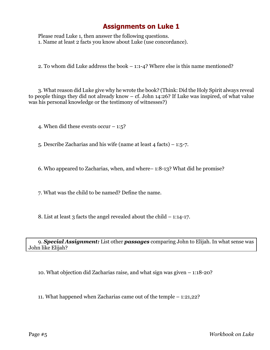Please read Luke 1, then answer the following questions. 1. Name at least 2 facts you know about Luke (use concordance).

2. To whom did Luke address the book – 1:1-4? Where else is this name mentioned?

3. What reason did Luke give why he wrote the book? (Think: Did the Holy Spirit always reveal to people things they did not already know – cf. John 14:26? If Luke was inspired, of what value was his personal knowledge or the testimony of witnesses?)

4. When did these events occur  $-1:5$ ?

5. Describe Zacharias and his wife (name at least 4 facts) – 1:5-7.

6. Who appeared to Zacharias, when, and where– 1:8-13? What did he promise?

7. What was the child to be named? Define the name.

8. List at least 3 facts the angel revealed about the child  $-1:14-17$ .

9. *Special Assignment:* List other *passages* comparing John to Elijah. In what sense was John like Elijah?

10. What objection did Zacharias raise, and what sign was given – 1:18-20?

11. What happened when Zacharias came out of the temple – 1:21,22?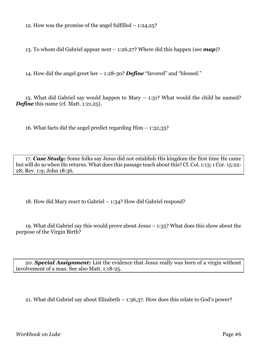12. How was the promise of the angel fulfilled  $-1:24,25$ ?

13. To whom did Gabriel appear next – 1:26,27? Where did this happen (see *map*)?

14. How did the angel greet her – 1:28-30? *Define* "favored" and "blessed."

15. What did Gabriel say would happen to Mary  $-$  1:31? What would the child be named? *Define* this name (cf. Matt. 1:21,25).

16. What facts did the angel predict regarding  $\text{Him} - 1:32,33$ ?

17. *Case Study:* Some folks say Jesus did not establish His kingdom the first time He came but will do so when He returns. What does this passage teach about this? Cf. Col. 1:13; 1 Cor. 15:22- 28; Rev. 1:9; John 18:36.

18. How did Mary react to Gabriel – 1:34? How did Gabriel respond?

19. What did Gabriel say this would prove about Jesus – 1:35? What does this show about the purpose of the Virgin Birth?

20. *Special Assignment:* List the evidence that Jesus really was born of a virgin without involvement of a man. See also Matt. 1:18-25.

21. What did Gabriel say about Elizabeth – 1:36,37. How does this relate to God's power?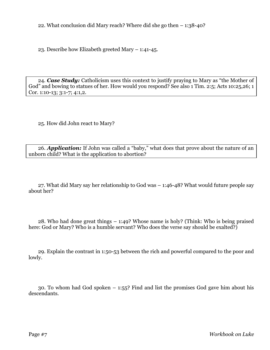22. What conclusion did Mary reach? Where did she go then – 1:38-40?

23. Describe how Elizabeth greeted Mary – 1:41-45.

24. *Case Study:* Catholicism uses this context to justify praying to Mary as "the Mother of God" and bowing to statues of her. How would you respond? See also 1 Tim. 2:5; Acts 10:25,26; 1 Cor. 1:10-13; 3:1-7; 4:1,2.

25. How did John react to Mary?

26. *Application:* If John was called a "baby," what does that prove about the nature of an unborn child? What is the application to abortion?

27. What did Mary say her relationship to God was – 1:46-48? What would future people say about her?

28. Who had done great things – 1:49? Whose name is holy? (Think: Who is being praised here: God or Mary? Who is a humble servant? Who does the verse say should be exalted?)

29. Explain the contrast in 1:50-53 between the rich and powerful compared to the poor and lowly.

30. To whom had God spoken – 1:55? Find and list the promises God gave him about his descendants.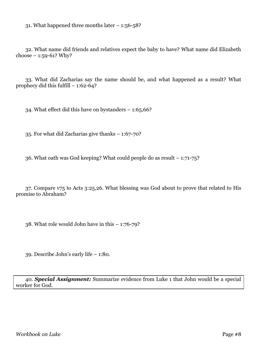31. What happened three months later – 1:56-58?

32. What name did friends and relatives expect the baby to have? What name did Elizabeth choose  $- 1:59-61?$  Why?

33. What did Zacharias say the name should be, and what happened as a result? What prophecy did this fulfill  $-1:62-64$ ?

34. What effect did this have on bystanders – 1:65,66?

35. For what did Zacharias give thanks – 1:67-70?

36. What oath was God keeping? What could people do as result – 1:71-75?

37. Compare v75 to Acts 3:25,26. What blessing was God about to prove that related to His promise to Abraham?

38. What role would John have in this – 1:76-79?

39. Describe John's early life – 1:80.

40. *Special Assignment:* Summarize evidence from Luke 1 that John would be a special worker for God.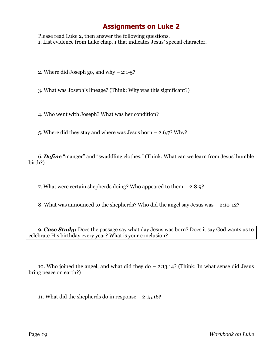Please read Luke 2, then answer the following questions. 1. List evidence from Luke chap. 1 that indicates Jesus' special character.

2. Where did Joseph go, and why – 2:1-5?

3. What was Joseph's lineage? (Think: Why was this significant?)

4. Who went with Joseph? What was her condition?

5. Where did they stay and where was Jesus born – 2:6,7? Why?

6. *Define* "manger" and "swaddling clothes." (Think: What can we learn from Jesus' humble birth?)

7. What were certain shepherds doing? Who appeared to them – 2:8,9?

8. What was announced to the shepherds? Who did the angel say Jesus was – 2:10-12?

9. *Case Study:* Does the passage say what day Jesus was born? Does it say God wants us to celebrate His birthday every year? What is your conclusion?

10. Who joined the angel, and what did they do – 2:13,14? (Think: In what sense did Jesus bring peace on earth?)

11. What did the shepherds do in response – 2:15,16?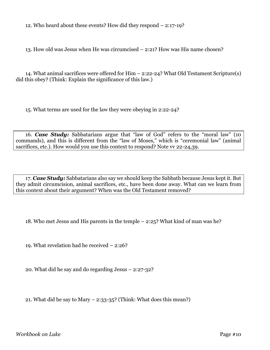12. Who heard about these events? How did they respond – 2:17-19?

13. How old was Jesus when He was circumcised – 2:21? How was His name chosen?

14. What animal sacrifices were offered for Him – 2:22-24? What Old Testament Scripture(s) did this obey? (Think: Explain the significance of this law.)

15. What terms are used for the law they were obeying in 2:22-24?

16. *Case Study:* Sabbatarians argue that "law of God" refers to the "moral law" (10 commands), and this is different from the "law of Moses," which is "ceremonial law" (animal sacrifices, etc.). How would you use this context to respond? Note vv 22-24,39.

17. *Case Study:* Sabbatarians also say we should keep the Sabbath because Jesus kept it. But they admit circumcision, animal sacrifices, etc., have been done away. What can we learn from this context about their argument? When was the Old Testament removed?

18. Who met Jesus and His parents in the temple – 2:25? What kind of man was he?

19. What revelation had he received – 2:26?

20. What did he say and do regarding Jesus – 2:27-32?

21. What did he say to Mary  $-$  2:33-35? (Think: What does this mean?)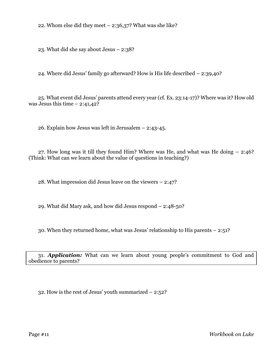22. Whom else did they meet  $-$  2:36,37? What was she like?

23. What did she say about Jesus – 2:38?

24. Where did Jesus' family go afterward? How is His life described – 2:39,40?

25. What event did Jesus' parents attend every year (cf. Ex. 23:14-17)? Where was it? How old was Jesus this time  $-2:41,42$ ?

26. Explain how Jesus was left in Jerusalem – 2:43-45.

27. How long was it till they found Him? Where was He, and what was He doing – 2:46? (Think: What can we learn about the value of questions in teaching?)

28. What impression did Jesus leave on the viewers – 2:47?

29. What did Mary ask, and how did Jesus respond – 2:48-50?

30. When they returned home, what was Jesus' relationship to His parents – 2:51?

31. *Application:* What can we learn about young people's commitment to God and obedience to parents?

32. How is the rest of Jesus' youth summarized – 2:52?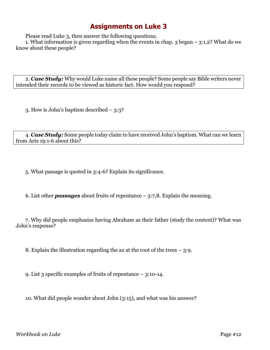Please read Luke 3, then answer the following questions.

1. What information is given regarding when the events in chap. 3 began – 3:1,2? What do we know about these people?

2. *Case Study:* Why would Luke name all these people? Some people say Bible writers never intended their records to be viewed as historic fact. How would you respond?

3. How is John's baptism described – 3:3?

4. *Case Study:* Some people today claim to have received John's baptism. What can we learn from Acts 19:1-6 about this?

5. What passage is quoted in 3:4-6? Explain its significance.

6. List other *passages* about fruits of repentance – 3:7,8. Explain the meaning.

7. Why did people emphasize having Abraham as their father (study the context)? What was John's response?

8. Explain the illustration regarding the ax at the root of the trees  $-3:9$ .

9. List 3 specific examples of fruits of repentance – 3:10-14.

10. What did people wonder about John (3:15), and what was his answer?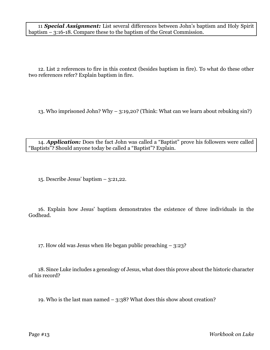11 *Special Assignment:* List several differences between John's baptism and Holy Spirit baptism – 3:16-18. Compare these to the baptism of the Great Commission.

12. List 2 references to fire in this context (besides baptism in fire). To what do these other two references refer? Explain baptism in fire.

13. Who imprisoned John? Why – 3:19,20? (Think: What can we learn about rebuking sin?)

14. *Application:* Does the fact John was called a "Baptist" prove his followers were called "Baptists"? Should anyone today be called a "Baptist"? Explain.

15. Describe Jesus' baptism – 3:21,22.

16. Explain how Jesus' baptism demonstrates the existence of three individuals in the Godhead.

17. How old was Jesus when He began public preaching – 3:23?

18. Since Luke includes a genealogy of Jesus, what does this prove about the historic character of his record?

19. Who is the last man named – 3:38? What does this show about creation?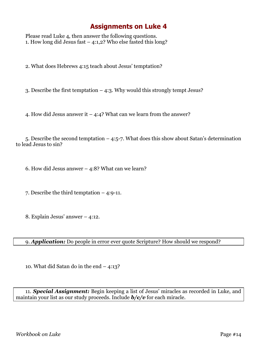Please read Luke 4, then answer the following questions. 1. How long did Jesus fast  $-$  4:1,2? Who else fasted this long?

2. What does Hebrews 4:15 teach about Jesus' temptation?

3. Describe the first temptation – 4:3. Why would this strongly tempt Jesus?

4. How did Jesus answer it  $-$  4:4? What can we learn from the answer?

5. Describe the second temptation – 4:5-7. What does this show about Satan's determination to lead Jesus to sin?

6. How did Jesus answer – 4:8? What can we learn?

7. Describe the third temptation – 4:9-11.

8. Explain Jesus' answer – 4:12.

9. *Application:* Do people in error ever quote Scripture? How should we respond?

10. What did Satan do in the end – 4:13?

11. *Special Assignment:* Begin keeping a list of Jesus' miracles as recorded in Luke, and maintain your list as our study proceeds. Include *b/c/v* for each miracle.

*Workbook on Luke* Page #14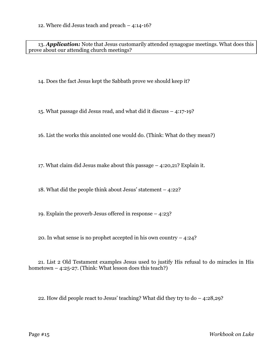13. *Application:* Note that Jesus customarily attended synagogue meetings. What does this prove about our attending church meetings?

14. Does the fact Jesus kept the Sabbath prove we should keep it?

15. What passage did Jesus read, and what did it discuss – 4:17-19?

16. List the works this anointed one would do. (Think: What do they mean?)

17. What claim did Jesus make about this passage – 4:20,21? Explain it.

18. What did the people think about Jesus' statement – 4:22?

19. Explain the proverb Jesus offered in response – 4:23?

20. In what sense is no prophet accepted in his own country – 4:24?

21. List 2 Old Testament examples Jesus used to justify His refusal to do miracles in His hometown  $-$  4:25-27. (Think: What lesson does this teach?)

22. How did people react to Jesus' teaching? What did they try to do – 4:28,29?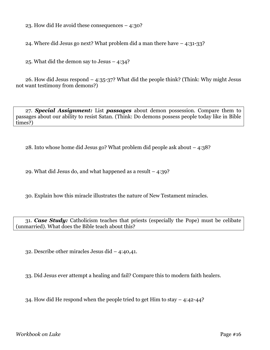23. How did He avoid these consequences – 4:30?

24. Where did Jesus go next? What problem did a man there have – 4:31-33?

25. What did the demon say to Jesus – 4:34?

26. How did Jesus respond – 4:35-37? What did the people think? (Think: Why might Jesus not want testimony from demons?)

27. *Special Assignment:* List *passages* about demon possession. Compare them to passages about our ability to resist Satan. (Think: Do demons possess people today like in Bible times?)

28. Into whose home did Jesus go? What problem did people ask about – 4:38?

29. What did Jesus do, and what happened as a result – 4:39?

30. Explain how this miracle illustrates the nature of New Testament miracles.

31. *Case Study:* Catholicism teaches that priests (especially the Pope) must be celibate (unmarried). What does the Bible teach about this?

32. Describe other miracles Jesus did – 4:40,41.

33. Did Jesus ever attempt a healing and fail? Compare this to modern faith healers.

34. How did He respond when the people tried to get Him to stay – 4:42-44?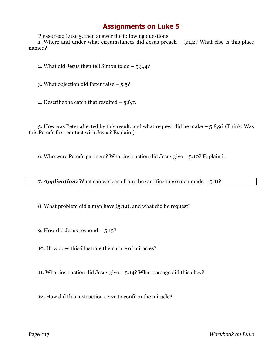Please read Luke 5, then answer the following questions.

1. Where and under what circumstances did Jesus preach  $-$  5:1,2? What else is this place named?

2. What did Jesus then tell Simon to do  $-$  5:3,4?

3. What objection did Peter raise – 5:5?

4. Describe the catch that resulted  $-5:6,7$ .

5. How was Peter affected by this result, and what request did he make – 5:8,9? (Think: Was this Peter's first contact with Jesus? Explain.)

6. Who were Peter's partners? What instruction did Jesus give – 5:10? Explain it.

7. *Application:* What can we learn from the sacrifice these men made – 5:11?

8. What problem did a man have (5:12), and what did he request?

9. How did Jesus respond – 5:13?

10. How does this illustrate the nature of miracles?

11. What instruction did Jesus give – 5:14? What passage did this obey?

12. How did this instruction serve to confirm the miracle?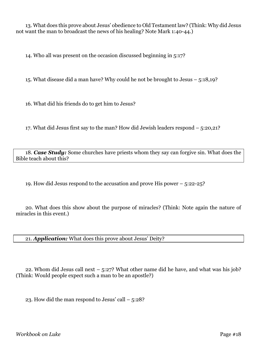13. What does this prove about Jesus' obedience to Old Testament law? (Think: Why did Jesus not want the man to broadcast the news of his healing? Note Mark 1:40-44.)

14. Who all was present on the occasion discussed beginning in 5:17?

15. What disease did a man have? Why could he not be brought to Jesus – 5:18,19?

16. What did his friends do to get him to Jesus?

17. What did Jesus first say to the man? How did Jewish leaders respond – 5:20,21?

18. *Case Study:* Some churches have priests whom they say can forgive sin. What does the Bible teach about this?

19. How did Jesus respond to the accusation and prove His power – 5:22-25?

20. What does this show about the purpose of miracles? (Think: Note again the nature of miracles in this event.)

21. *Application:* What does this prove about Jesus' Deity?

22. Whom did Jesus call next – 5:27? What other name did he have, and what was his job? (Think: Would people expect such a man to be an apostle?)

23. How did the man respond to Jesus' call  $-5:28$ ?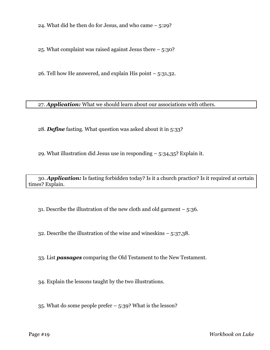24. What did he then do for Jesus, and who came – 5:29?

25. What complaint was raised against Jesus there – 5:30?

26. Tell how He answered, and explain His point  $-5:31,32$ .

27. *Application:* What we should learn about our associations with others.

28. *Define* fasting. What question was asked about it in 5:33?

29. What illustration did Jesus use in responding  $-5:34,35$ ? Explain it.

30. *Application:* Is fasting forbidden today? Is it a church practice? Is it required at certain times? Explain.

31. Describe the illustration of the new cloth and old garment – 5:36.

32. Describe the illustration of the wine and wineskins – 5:37,38.

33. List *passages* comparing the Old Testament to the New Testament.

34. Explain the lessons taught by the two illustrations.

35. What do some people prefer – 5:39? What is the lesson?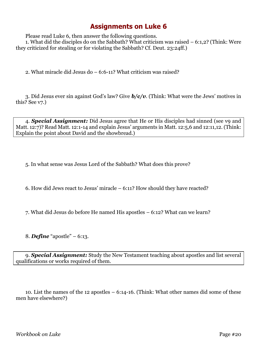Please read Luke 6, then answer the following questions.

1. What did the disciples do on the Sabbath? What criticism was raised – 6:1,2? (Think: Were they criticized for stealing or for violating the Sabbath? Cf. Deut. 23:24ff.)

2. What miracle did Jesus do – 6:6-11? What criticism was raised?

3. Did Jesus ever sin against God's law? Give *b/c/v*. (Think: What were the Jews' motives in this? See v7.)

4. *Special Assignment:* Did Jesus agree that He or His disciples had sinned (see v9 and Matt. 12:7)? Read Matt. 12:1-14 and explain Jesus' arguments in Matt. 12:5,6 and 12:11,12. (Think: Explain the point about David and the showbread.)

5. In what sense was Jesus Lord of the Sabbath? What does this prove?

6. How did Jews react to Jesus' miracle – 6:11? How should they have reacted?

7. What did Jesus do before He named His apostles – 6:12? What can we learn?

8. *Define* "apostle" – 6:13.

9. *Special Assignment:* Study the New Testament teaching about apostles and list several qualifications or works required of them.

10. List the names of the 12 apostles – 6:14-16. (Think: What other names did some of these men have elsewhere?)

*Workbook on Luke* Page #20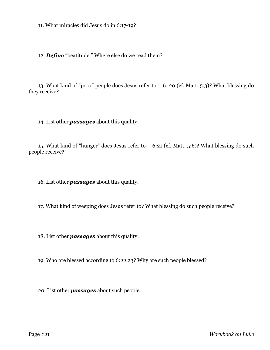11. What miracles did Jesus do in 6:17-19?

12. *Define* "beatitude." Where else do we read them?

13. What kind of "poor" people does Jesus refer to  $-6$ : 20 (cf. Matt. 5:3)? What blessing do they receive?

14. List other *passages* about this quality.

15. What kind of "hunger" does Jesus refer to  $-6:21$  (cf. Matt. 5:6)? What blessing do such people receive?

16. List other *passages* about this quality.

17. What kind of weeping does Jesus refer to? What blessing do such people receive?

18. List other *passages* about this quality.

19. Who are blessed according to 6:22,23? Why are such people blessed?

20. List other *passages* about such people.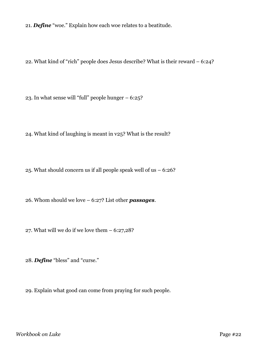21. *Define* "woe." Explain how each woe relates to a beatitude.

22. What kind of "rich" people does Jesus describe? What is their reward – 6:24?

23. In what sense will "full" people hunger – 6:25?

24. What kind of laughing is meant in v25? What is the result?

25. What should concern us if all people speak well of us – 6:26?

26. Whom should we love – 6:27? List other *passages*.

27. What will we do if we love them – 6:27,28?

28. *Define* "bless" and "curse."

29. Explain what good can come from praying for such people.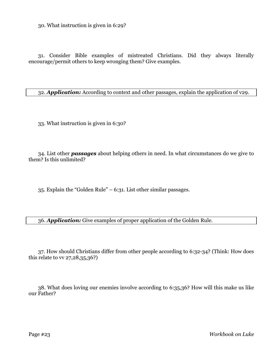30. What instruction is given in 6:29?

31. Consider Bible examples of mistreated Christians. Did they always literally encourage/permit others to keep wronging them? Give examples.

32. *Application:* According to context and other passages, explain the application of v29.

33. What instruction is given in 6:30?

34. List other *passages* about helping others in need. In what circumstances do we give to them? Is this unlimited?

35. Explain the "Golden Rule" – 6:31. List other similar passages.

36. *Application:* Give examples of proper application of the Golden Rule.

37. How should Christians differ from other people according to 6:32-34? (Think: How does this relate to vv 27,28,35,36?)

38. What does loving our enemies involve according to 6:35,36? How will this make us like our Father?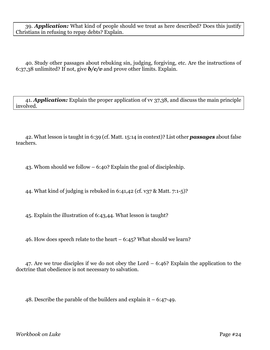39. *Application:* What kind of people should we treat as here described? Does this justify Christians in refusing to repay debts? Explain.

40. Study other passages about rebuking sin, judging, forgiving, etc. Are the instructions of 6:37,38 unlimited? If not, give *b/c/v* and prove other limits. Explain.

41. *Application:* Explain the proper application of vv 37,38, and discuss the main principle involved.

42. What lesson is taught in 6:39 (cf. Matt. 15:14 in context)? List other *passages* about false teachers.

43. Whom should we follow – 6:40? Explain the goal of discipleship.

44. What kind of judging is rebuked in 6:41,42 (cf. v37 & Matt. 7:1-5)?

45. Explain the illustration of 6:43,44. What lesson is taught?

46. How does speech relate to the heart – 6:45? What should we learn?

47. Are we true disciples if we do not obey the Lord – 6:46? Explain the application to the doctrine that obedience is not necessary to salvation.

48. Describe the parable of the builders and explain it – 6:47-49.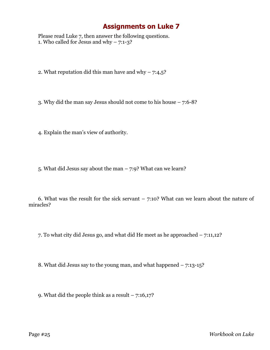Please read Luke 7, then answer the following questions. 1. Who called for Jesus and why  $-7:1-3$ ?

2. What reputation did this man have and why  $-7:4,5$ ?

3. Why did the man say Jesus should not come to his house – 7:6-8?

4. Explain the man's view of authority.

5. What did Jesus say about the man – 7:9? What can we learn?

6. What was the result for the sick servant  $-7:10$ ? What can we learn about the nature of miracles?

7. To what city did Jesus go, and what did He meet as he approached – 7:11,12?

8. What did Jesus say to the young man, and what happened – 7:13-15?

9. What did the people think as a result  $-7:16,17$ ?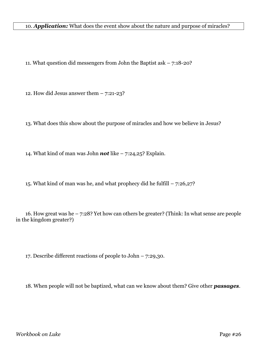#### 10. *Application:* What does the event show about the nature and purpose of miracles?

11. What question did messengers from John the Baptist ask – 7:18-20?

12. How did Jesus answer them  $-7:21-23$ ?

13. What does this show about the purpose of miracles and how we believe in Jesus?

14. What kind of man was John *not* like – 7:24,25? Explain.

15. What kind of man was he, and what prophecy did he fulfill – 7:26,27?

16. How great was he – 7:28? Yet how can others be greater? (Think: In what sense are people in the kingdom greater?)

17. Describe different reactions of people to John – 7:29,30.

18. When people will not be baptized, what can we know about them? Give other *passages*.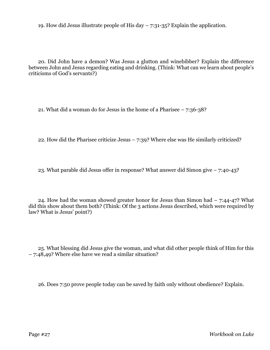19. How did Jesus illustrate people of His day  $-7:31-35$ ? Explain the application.

20. Did John have a demon? Was Jesus a glutton and winebibber? Explain the difference between John and Jesus regarding eating and drinking. (Think: What can we learn about people's criticisms of God's servants?)

21. What did a woman do for Jesus in the home of a Pharisee – 7:36-38?

22. How did the Pharisee criticize Jesus – 7:39? Where else was He similarly criticized?

23. What parable did Jesus offer in response? What answer did Simon give – 7:40-43?

24. How had the woman showed greater honor for Jesus than Simon had – 7:44-47? What did this show about them both? (Think: Of the 3 actions Jesus described, which were required by law? What is Jesus' point?)

25. What blessing did Jesus give the woman, and what did other people think of Him for this – 7:48,49? Where else have we read a similar situation?

26. Does 7:50 prove people today can be saved by faith only without obedience? Explain.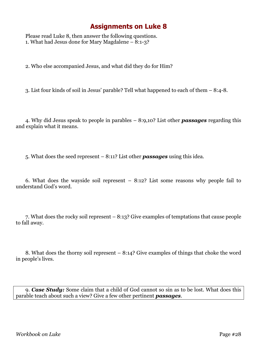Please read Luke 8, then answer the following questions. 1. What had Jesus done for Mary Magdalene – 8:1-3?

2. Who else accompanied Jesus, and what did they do for Him?

3. List four kinds of soil in Jesus' parable? Tell what happened to each of them – 8:4-8.

4. Why did Jesus speak to people in parables – 8:9,10? List other *passages* regarding this and explain what it means.

5. What does the seed represent – 8:11? List other *passages* using this idea.

6. What does the wayside soil represent – 8:12? List some reasons why people fail to understand God's word.

7. What does the rocky soil represent – 8:13? Give examples of temptations that cause people to fall away.

8. What does the thorny soil represent – 8:14? Give examples of things that choke the word in people's lives.

9. *Case Study:* Some claim that a child of God cannot so sin as to be lost. What does this parable teach about such a view? Give a few other pertinent *passages*.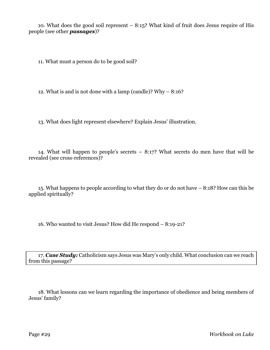10. What does the good soil represent – 8:15? What kind of fruit does Jesus require of His people (see other *passages*)?

11. What must a person do to be good soil?

12. What is and is not done with a lamp (candle)? Why – 8:16?

13. What does light represent elsewhere? Explain Jesus' illustration.

14. What will happen to people's secrets – 8:17? What secrets do men have that will be revealed (see cross-references)?

15. What happens to people according to what they do or do not have – 8:18? How can this be applied spiritually?

16. Who wanted to visit Jesus? How did He respond – 8:19-21?

17. *Case Study:* Catholicism says Jesus was Mary's only child. What conclusion can we reach from this passage?

18. What lessons can we learn regarding the importance of obedience and being members of Jesus' family?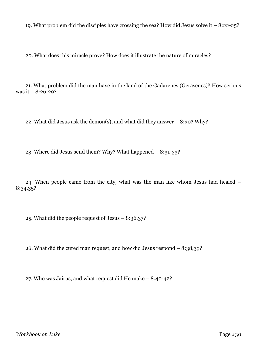19. What problem did the disciples have crossing the sea? How did Jesus solve it  $-8:22-25$ ?

20. What does this miracle prove? How does it illustrate the nature of miracles?

21. What problem did the man have in the land of the Gadarenes (Gerasenes)? How serious was it – 8:26-29?

22. What did Jesus ask the demon(s), and what did they answer  $-8:30$ ? Why?

23. Where did Jesus send them? Why? What happened – 8:31-33?

24. When people came from the city, what was the man like whom Jesus had healed – 8:34,35?

25. What did the people request of Jesus – 8:36,37?

26. What did the cured man request, and how did Jesus respond – 8:38,39?

27. Who was Jairus, and what request did He make – 8:40-42?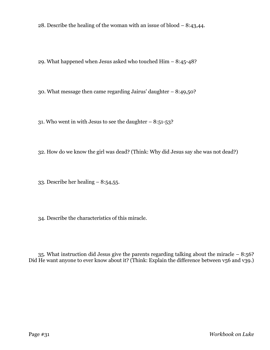28. Describe the healing of the woman with an issue of blood – 8:43,44.

29. What happened when Jesus asked who touched Him – 8:45-48?

30. What message then came regarding Jairus' daughter – 8:49,50?

31. Who went in with Jesus to see the daughter  $-8:51-53$ ?

32. How do we know the girl was dead? (Think: Why did Jesus say she was not dead?)

33. Describe her healing – 8:54,55.

34. Describe the characteristics of this miracle.

35. What instruction did Jesus give the parents regarding talking about the miracle – 8:56? Did He want anyone to ever know about it? (Think: Explain the difference between v56 and v39.)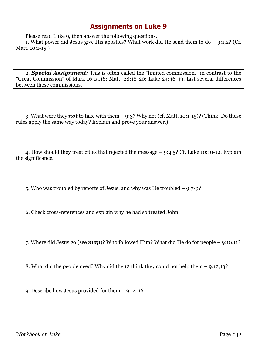Please read Luke 9, then answer the following questions.

1. What power did Jesus give His apostles? What work did He send them to do – 9:1,2? (Cf. Matt. 10:1-15.)

2. *Special Assignment:* This is often called the "limited commission," in contrast to the "Great Commission" of Mark 16:15,16; Matt. 28:18-20; Luke 24:46-49. List several differences between these commissions.

3. What were they *not* to take with them – 9:3? Why not (cf. Matt. 10:1-15)? (Think: Do these rules apply the same way today? Explain and prove your answer.)

4. How should they treat cities that rejected the message – 9:4,5? Cf. Luke 10:10-12. Explain the significance.

5. Who was troubled by reports of Jesus, and why was He troubled – 9:7-9?

6. Check cross-references and explain why he had so treated John.

7. Where did Jesus go (see *map*)? Who followed Him? What did He do for people – 9:10,11?

8. What did the people need? Why did the 12 think they could not help them – 9:12,13?

9. Describe how Jesus provided for them – 9:14-16.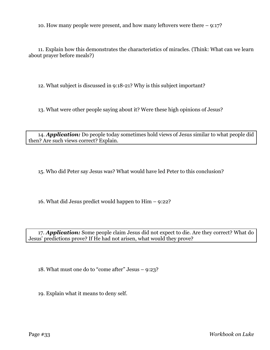10. How many people were present, and how many leftovers were there – 9:17?

11. Explain how this demonstrates the characteristics of miracles. (Think: What can we learn about prayer before meals?)

12. What subject is discussed in 9:18-21? Why is this subject important?

13. What were other people saying about it? Were these high opinions of Jesus?

14. *Application:* Do people today sometimes hold views of Jesus similar to what people did then? Are such views correct? Explain.

15. Who did Peter say Jesus was? What would have led Peter to this conclusion?

16. What did Jesus predict would happen to Him – 9:22?

17. *Application:* Some people claim Jesus did not expect to die. Are they correct? What do Jesus' predictions prove? If He had not arisen, what would they prove?

18. What must one do to "come after" Jesus – 9:23?

19. Explain what it means to deny self.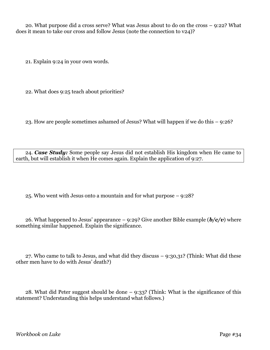20. What purpose did a cross serve? What was Jesus about to do on the cross – 9:22? What does it mean to take our cross and follow Jesus (note the connection to v24)?

21. Explain 9:24 in your own words.

22. What does 9:25 teach about priorities?

23. How are people sometimes ashamed of Jesus? What will happen if we do this – 9:26?

24. *Case Study:* Some people say Jesus did not establish His kingdom when He came to earth, but will establish it when He comes again. Explain the application of 9:27.

25. Who went with Jesus onto a mountain and for what purpose – 9:28?

26. What happened to Jesus' appearance  $-$  9:29? Give another Bible example  $(b/c/v)$  where something similar happened. Explain the significance.

27. Who came to talk to Jesus, and what did they discuss – 9:30,31? (Think: What did these other men have to do with Jesus' death?)

28. What did Peter suggest should be done – 9:33? (Think: What is the significance of this statement? Understanding this helps understand what follows.)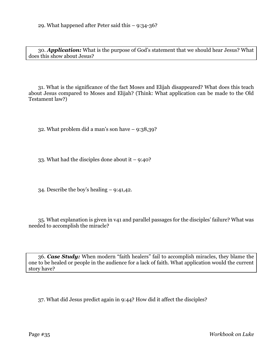30. *Application:* What is the purpose of God's statement that we should hear Jesus? What does this show about Jesus?

31. What is the significance of the fact Moses and Elijah disappeared? What does this teach about Jesus compared to Moses and Elijah? (Think: What application can be made to the Old Testament law?)

32. What problem did a man's son have – 9:38,39?

33. What had the disciples done about it  $-9:40$ ?

34. Describe the boy's healing – 9:41,42.

35. What explanation is given in v41 and parallel passages for the disciples' failure? What was needed to accomplish the miracle?

36. *Case Study:* When modern "faith healers" fail to accomplish miracles, they blame the one to be healed or people in the audience for a lack of faith. What application would the current story have?

37. What did Jesus predict again in 9:44? How did it affect the disciples?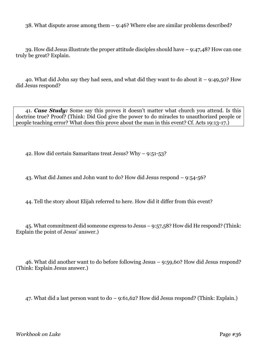38. What dispute arose among them – 9:46? Where else are similar problems described?

39. How did Jesus illustrate the proper attitude disciples should have – 9:47,48? How can one truly be great? Explain.

40. What did John say they had seen, and what did they want to do about it – 9:49,50? How did Jesus respond?

41. *Case Study:* Some say this proves it doesn't matter what church you attend. Is this doctrine true? Proof? (Think: Did God give the power to do miracles to unauthorized people or people teaching error? What does this prove about the man in this event? Cf. Acts 19:13-17.)

42. How did certain Samaritans treat Jesus? Why – 9:51-53?

43. What did James and John want to do? How did Jesus respond – 9:54-56?

44. Tell the story about Elijah referred to here. How did it differ from this event?

45. What commitment did someone express to Jesus – 9:57,58? How did He respond? (Think: Explain the point of Jesus' answer.)

46. What did another want to do before following Jesus – 9:59,60? How did Jesus respond? (Think: Explain Jesus answer.)

47. What did a last person want to do – 9:61,62? How did Jesus respond? (Think: Explain.)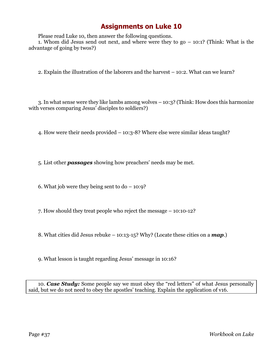Please read Luke 10, then answer the following questions.

1. Whom did Jesus send out next, and where were they to go – 10:1? (Think: What is the advantage of going by twos?)

2. Explain the illustration of the laborers and the harvest – 10:2. What can we learn?

3. In what sense were they like lambs among wolves – 10:3? (Think: How does this harmonize with verses comparing Jesus' disciples to soldiers?)

4. How were their needs provided – 10:3-8? Where else were similar ideas taught?

5. List other *passages* showing how preachers' needs may be met.

6. What job were they being sent to  $do - 10:9$ ?

7. How should they treat people who reject the message – 10:10-12?

8. What cities did Jesus rebuke – 10:13-15? Why? (Locate these cities on a *map*.)

9. What lesson is taught regarding Jesus' message in 10:16?

10. *Case Study:* Some people say we must obey the "red letters" of what Jesus personally said, but we do not need to obey the apostles' teaching. Explain the application of v16.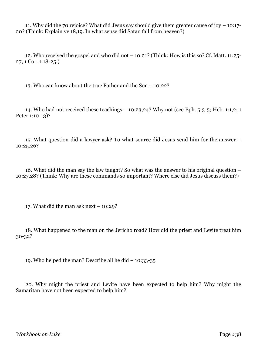11. Why did the 70 rejoice? What did Jesus say should give them greater cause of joy – 10:17- 20? (Think: Explain vv 18,19. In what sense did Satan fall from heaven?)

12. Who received the gospel and who did not – 10:21? (Think: How is this so? Cf. Matt. 11:25- 27; 1 Cor. 1:18-25.)

13. Who can know about the true Father and the Son – 10:22?

14. Who had not received these teachings – 10:23,24? Why not (see Eph. 5:3-5; Heb. 1:1,2; 1 Peter 1:10-13)?

15. What question did a lawyer ask? To what source did Jesus send him for the answer – 10:25,26?

16. What did the man say the law taught? So what was the answer to his original question – 10:27,28? (Think: Why are these commands so important? Where else did Jesus discuss them?)

17. What did the man ask next  $-10:29$ ?

18. What happened to the man on the Jericho road? How did the priest and Levite treat him 30-32?

19. Who helped the man? Describe all he did – 10:33-35

20. Why might the priest and Levite have been expected to help him? Why might the Samaritan have not been expected to help him?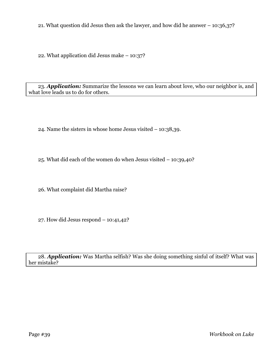21. What question did Jesus then ask the lawyer, and how did he answer – 10:36,37?

22. What application did Jesus make – 10:37?

23. *Application:* Summarize the lessons we can learn about love, who our neighbor is, and what love leads us to do for others.

24. Name the sisters in whose home Jesus visited – 10:38,39.

25. What did each of the women do when Jesus visited – 10:39,40?

26. What complaint did Martha raise?

27. How did Jesus respond – 10:41,42?

28. *Application:* Was Martha selfish? Was she doing something sinful of itself? What was her mistake?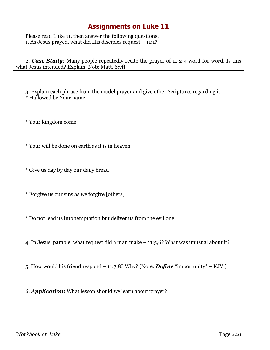Please read Luke 11, then answer the following questions. 1. As Jesus prayed, what did His disciples request – 11:1?

2. *Case Study:* Many people repeatedly recite the prayer of 11:2-4 word-for-word. Is this what Jesus intended? Explain. Note Matt. 6:7ff.

3. Explain each phrase from the model prayer and give other Scriptures regarding it: \* Hallowed be Your name

\* Your kingdom come

\* Your will be done on earth as it is in heaven

\* Give us day by day our daily bread

\* Forgive us our sins as we forgive [others]

\* Do not lead us into temptation but deliver us from the evil one

4. In Jesus' parable, what request did a man make – 11:5,6? What was unusual about it?

5. How would his friend respond – 11:7,8? Why? (Note: *Define* "importunity" – KJV.)

6. *Application:* What lesson should we learn about prayer?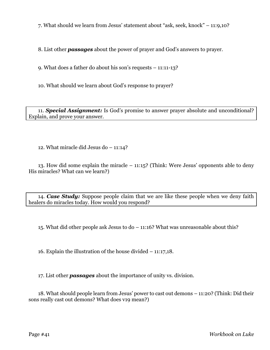7. What should we learn from Jesus' statement about "ask, seek, knock" – 11:9,10?

8. List other *passages* about the power of prayer and God's answers to prayer.

9. What does a father do about his son's requests – 11:11-13?

10. What should we learn about God's response to prayer?

11. *Special Assignment:* Is God's promise to answer prayer absolute and unconditional? Explain, and prove your answer.

12. What miracle did Jesus do – 11:14?

13. How did some explain the miracle – 11:15? (Think: Were Jesus' opponents able to deny His miracles? What can we learn?)

14. *Case Study:* Suppose people claim that we are like these people when we deny faith healers do miracles today. How would you respond?

15. What did other people ask Jesus to do – 11:16? What was unreasonable about this?

16. Explain the illustration of the house divided – 11:17,18.

17. List other *passages* about the importance of unity vs. division.

18. What should people learn from Jesus' power to cast out demons – 11:20? (Think: Did their sons really cast out demons? What does v19 mean?)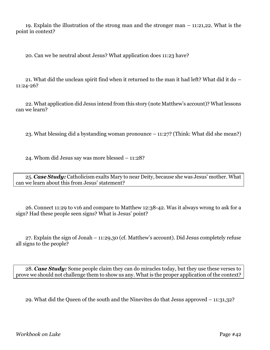19. Explain the illustration of the strong man and the stronger man – 11:21,22. What is the point in context?

20. Can we be neutral about Jesus? What application does 11:23 have?

21. What did the unclean spirit find when it returned to the man it had left? What did it do – 11:24-26?

22. What application did Jesus intend from this story (note Matthew's account)? What lessons can we learn?

23. What blessing did a bystanding woman pronounce – 11:27? (Think: What did she mean?)

24. Whom did Jesus say was more blessed – 11:28?

25. *Case Study:* Catholicism exalts Mary to near Deity, because she was Jesus' mother. What can we learn about this from Jesus' statement?

26. Connect 11:29 to v16 and compare to Matthew 12:38-42. Was it always wrong to ask for a sign? Had these people seen signs? What is Jesus' point?

27. Explain the sign of Jonah – 11:29,30 (cf. Matthew's account). Did Jesus completely refuse all signs to the people?

28. *Case Study:* Some people claim they can do miracles today, but they use these verses to prove we should not challenge them to show us any. What is the proper application of the context?

29. What did the Queen of the south and the Ninevites do that Jesus approved – 11:31,32?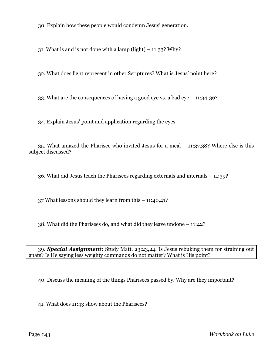30. Explain how these people would condemn Jesus' generation.

31. What is and is not done with a lamp (light)  $-$  11:33? Why?

32. What does light represent in other Scriptures? What is Jesus' point here?

33. What are the consequences of having a good eye vs. a bad eye – 11:34-36?

34. Explain Jesus' point and application regarding the eyes.

35. What amazed the Pharisee who invited Jesus for a meal – 11:37,38? Where else is this subject discussed?

36. What did Jesus teach the Pharisees regarding externals and internals – 11:39?

37 What lessons should they learn from this – 11:40,41?

38. What did the Pharisees do, and what did they leave undone – 11:42?

39. *Special Assignment:* Study Matt. 23:23,24. Is Jesus rebuking them for straining out gnats? Is He saying less weighty commands do not matter? What is His point?

40. Discuss the meaning of the things Pharisees passed by. Why are they important?

41. What does 11:43 show about the Pharisees?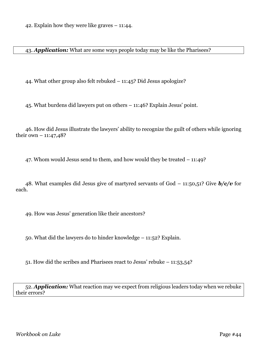42. Explain how they were like graves – 11:44.

43. *Application:* What are some ways people today may be like the Pharisees?

44. What other group also felt rebuked – 11:45? Did Jesus apologize?

45. What burdens did lawyers put on others – 11:46? Explain Jesus' point.

46. How did Jesus illustrate the lawyers' ability to recognize the guilt of others while ignoring their own  $-11:47,48?$ 

47. Whom would Jesus send to them, and how would they be treated – 11:49?

48. What examples did Jesus give of martyred servants of God – 11:50,51? Give *b/c/v* for each.

49. How was Jesus' generation like their ancestors?

50. What did the lawyers do to hinder knowledge – 11:52? Explain.

51. How did the scribes and Pharisees react to Jesus' rebuke – 11:53,54?

52. *Application:* What reaction may we expect from religious leaders today when we rebuke their errors?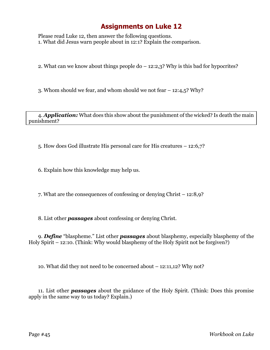Please read Luke 12, then answer the following questions. 1. What did Jesus warn people about in 12:1? Explain the comparison.

2. What can we know about things people do – 12:2,3? Why is this bad for hypocrites?

3. Whom should we fear, and whom should we not fear – 12:4,5? Why?

4. *Application:* What does this show about the punishment of the wicked? Is death the main punishment?

5. How does God illustrate His personal care for His creatures – 12:6,7?

6. Explain how this knowledge may help us.

7. What are the consequences of confessing or denying Christ – 12:8,9?

8. List other *passages* about confessing or denying Christ.

9. *Define* "blaspheme." List other *passages* about blasphemy, especially blasphemy of the Holy Spirit – 12:10. (Think: Why would blasphemy of the Holy Spirit not be forgiven?)

10. What did they not need to be concerned about – 12:11,12? Why not?

11. List other *passages* about the guidance of the Holy Spirit. (Think: Does this promise apply in the same way to us today? Explain.)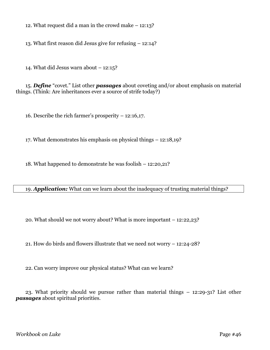12. What request did a man in the crowd make – 12:13?

13. What first reason did Jesus give for refusing – 12:14?

14. What did Jesus warn about – 12:15?

15. *Define* "covet." List other *passages* about coveting and/or about emphasis on material things. (Think: Are inheritances ever a source of strife today?)

16. Describe the rich farmer's prosperity – 12:16,17.

17. What demonstrates his emphasis on physical things – 12:18,19?

18. What happened to demonstrate he was foolish – 12:20,21?

19. *Application:* What can we learn about the inadequacy of trusting material things?

20. What should we not worry about? What is more important – 12:22,23?

21. How do birds and flowers illustrate that we need not worry – 12:24-28?

22. Can worry improve our physical status? What can we learn?

23. What priority should we pursue rather than material things – 12:29-31? List other *passages* about spiritual priorities.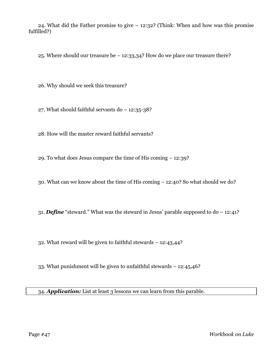24. What did the Father promise to give – 12:32? (Think: When and how was this promise fulfilled?)

25. Where should our treasure be – 12:33,34? How do we place our treasure there?

26. Why should we seek this treasure?

27. What should faithful servants do – 12:35-38?

28. How will the master reward faithful servants?

29. To what does Jesus compare the time of His coming – 12:39?

30. What can we know about the time of His coming – 12:40? So what should we do?

31. *Define* "steward." What was the steward in Jesus' parable supposed to do – 12:41?

32. What reward will be given to faithful stewards – 12:43,44?

33. What punishment will be given to unfaithful stewards – 12:45,46?

34. *Application:* List at least 3 lessons we can learn from this parable.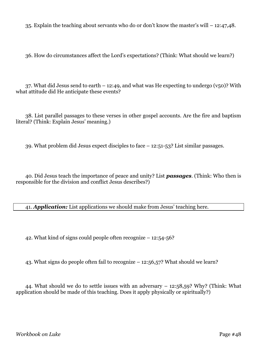35. Explain the teaching about servants who do or don't know the master's will – 12:47,48.

36. How do circumstances affect the Lord's expectations? (Think: What should we learn?)

37. What did Jesus send to earth  $-12:49$ , and what was He expecting to undergo (v50)? With what attitude did He anticipate these events?

38. List parallel passages to these verses in other gospel accounts. Are the fire and baptism literal? (Think: Explain Jesus' meaning.)

39. What problem did Jesus expect disciples to face – 12:51-53? List similar passages.

40. Did Jesus teach the importance of peace and unity? List *passages*. (Think: Who then is responsible for the division and conflict Jesus describes?)

41. *Application:* List applications we should make from Jesus' teaching here.

42. What kind of signs could people often recognize – 12:54-56?

43. What signs do people often fail to recognize – 12:56,57? What should we learn?

44. What should we do to settle issues with an adversary  $-12:58,59$ ? Why? (Think: What application should be made of this teaching. Does it apply physically or spiritually?)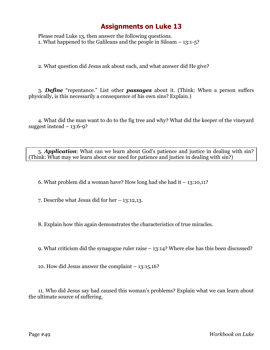Please read Luke 13, then answer the following questions. 1. What happened to the Galileans and the people in Siloam – 13:1-5?

2. What question did Jesus ask about each, and what answer did He give?

3. *Define* "repentance." List other *passages* about it. (Think: When a person suffers physically, is this necessarily a consequence of his own sins? Explain.)

4. What did the man want to do to the fig tree and why? What did the keeper of the vineyard suggest instead  $-13:6-9$ ?

5. *Application*: What can we learn about God's patience and justice in dealing with sin? (Think: What may we learn about our need for patience and justice in dealing with sin?)

6. What problem did a woman have? How long had she had it – 13:10,11?

7. Describe what Jesus did for her – 13:12,13.

8. Explain how this again demonstrates the characteristics of true miracles.

9. What criticism did the synagogue ruler raise – 13:14? Where else has this been discussed?

10. How did Jesus answer the complaint – 13:15,16?

11. Who did Jesus say had caused this woman's problems? Explain what we can learn about the ultimate source of suffering.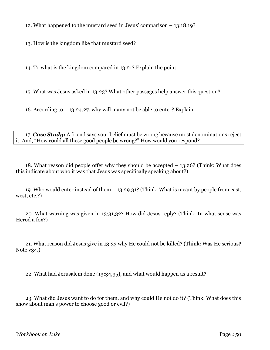12. What happened to the mustard seed in Jesus' comparison – 13:18,19?

13. How is the kingdom like that mustard seed?

14. To what is the kingdom compared in 13:21? Explain the point.

15. What was Jesus asked in 13:23? What other passages help answer this question?

16. According to – 13:24,27, why will many not be able to enter? Explain.

17. *Case Study:* A friend says your belief must be wrong because most denominations reject it. And, "How could all these good people be wrong?" How would you respond?

18. What reason did people offer why they should be accepted – 13:26? (Think: What does this indicate about who it was that Jesus was specifically speaking about?)

19. Who would enter instead of them – 13:29,31? (Think: What is meant by people from east, west, etc.?)

20. What warning was given in 13:31,32? How did Jesus reply? (Think: In what sense was Herod a fox?)

21. What reason did Jesus give in 13:33 why He could not be killed? (Think: Was He serious? Note  $v34.$ )

22. What had Jerusalem done (13:34,35), and what would happen as a result?

23. What did Jesus want to do for them, and why could He not do it? (Think: What does this show about man's power to choose good or evil?)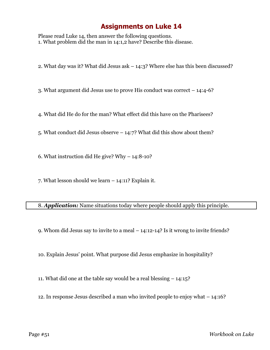Please read Luke 14, then answer the following questions. 1. What problem did the man in 14:1,2 have? Describe this disease.

2. What day was it? What did Jesus ask – 14:3? Where else has this been discussed?

3. What argument did Jesus use to prove His conduct was correct – 14:4-6?

4. What did He do for the man? What effect did this have on the Pharisees?

5. What conduct did Jesus observe – 14:7? What did this show about them?

6. What instruction did He give? Why – 14:8-10?

7. What lesson should we learn – 14:11? Explain it.

8. *Application:* Name situations today where people should apply this principle.

9. Whom did Jesus say to invite to a meal – 14:12-14? Is it wrong to invite friends?

10. Explain Jesus' point. What purpose did Jesus emphasize in hospitality?

11. What did one at the table say would be a real blessing – 14:15?

12. In response Jesus described a man who invited people to enjoy what – 14:16?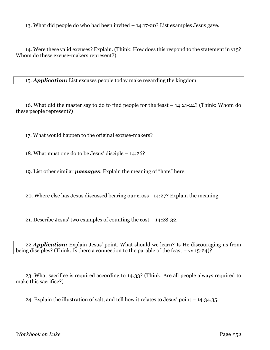13. What did people do who had been invited – 14:17-20? List examples Jesus gave.

14. Were these valid excuses? Explain. (Think: How does this respond to the statement in v15? Whom do these excuse-makers represent?)

15. *Application:* List excuses people today make regarding the kingdom.

16. What did the master say to do to find people for the feast – 14:21-24? (Think: Whom do these people represent?)

17. What would happen to the original excuse-makers?

18. What must one do to be Jesus' disciple – 14:26?

19. List other similar *passages*. Explain the meaning of "hate" here.

20. Where else has Jesus discussed bearing our cross– 14:27? Explain the meaning.

21. Describe Jesus' two examples of counting the cost – 14:28-32.

22 *Application:* Explain Jesus' point. What should we learn? Is He discouraging us from being disciples? (Think: Is there a connection to the parable of the feast – vv 15-24)?

23. What sacrifice is required according to 14:33? (Think: Are all people always required to make this sacrifice?)

24. Explain the illustration of salt, and tell how it relates to Jesus' point – 14:34,35.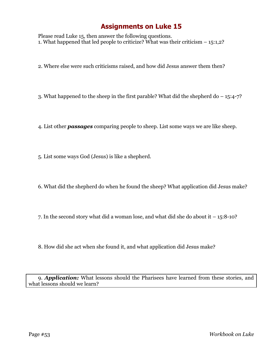Please read Luke 15, then answer the following questions. 1. What happened that led people to criticize? What was their criticism  $-15:1,2$ ?

2. Where else were such criticisms raised, and how did Jesus answer them then?

3. What happened to the sheep in the first parable? What did the shepherd do – 15:4-7?

4. List other *passages* comparing people to sheep. List some ways we are like sheep.

5. List some ways God (Jesus) is like a shepherd.

6. What did the shepherd do when he found the sheep? What application did Jesus make?

7. In the second story what did a woman lose, and what did she do about it – 15:8-10?

8. How did she act when she found it, and what application did Jesus make?

9. *Application:* What lessons should the Pharisees have learned from these stories, and what lessons should we learn?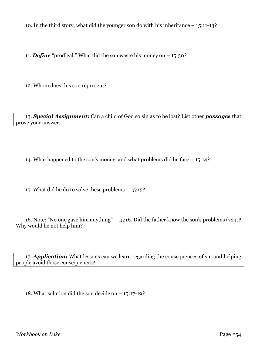10. In the third story, what did the younger son do with his inheritance – 15:11-13?

11. *Define* "prodigal." What did the son waste his money on – 15:30?

12. Whom does this son represent?

13. *Special Assignment:* Can a child of God so sin as to be lost? List other *passages* that prove your answer.

14. What happened to the son's money, and what problems did he face – 15:14?

15. What did he do to solve these problems – 15:15?

16. Note: "No one gave him anything" – 15:16. Did the father know the son's problems  $(v24)$ ? Why would he not help him?

17. *Application:* What lessons can we learn regarding the consequences of sin and helping people avoid those consequences?

18. What solution did the son decide on – 15:17-19?

*Workbook on Luke* Page #54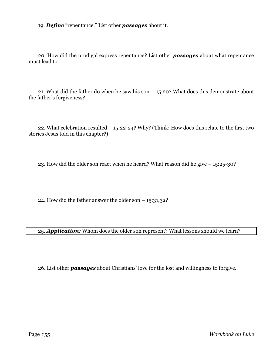19. *Define* "repentance." List other *passages* about it.

20. How did the prodigal express repentance? List other *passages* about what repentance must lead to.

21. What did the father do when he saw his son – 15:20? What does this demonstrate about the father's forgiveness?

22. What celebration resulted – 15:22-24? Why? (Think: How does this relate to the first two stories Jesus told in this chapter?)

23. How did the older son react when he heard? What reason did he give – 15:25-30?

24. How did the father answer the older son  $-15:31,32$ ?

25. *Application:* Whom does the older son represent? What lessons should we learn?

26. List other *passages* about Christians' love for the lost and willingness to forgive.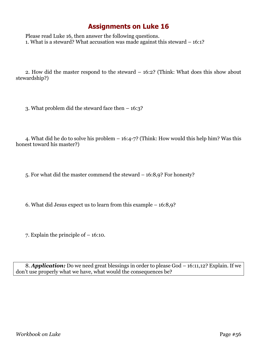Please read Luke 16, then answer the following questions. 1. What is a steward? What accusation was made against this steward – 16:1?

2. How did the master respond to the steward – 16:2? (Think: What does this show about stewardship?)

3. What problem did the steward face then – 16:3?

4. What did he do to solve his problem – 16:4-7? (Think: How would this help him? Was this honest toward his master?)

5. For what did the master commend the steward – 16:8,9? For honesty?

6. What did Jesus expect us to learn from this example – 16:8,9?

7. Explain the principle of – 16:10.

8. *Application:* Do we need great blessings in order to please God – 16:11,12? Explain. If we don't use properly what we have, what would the consequences be?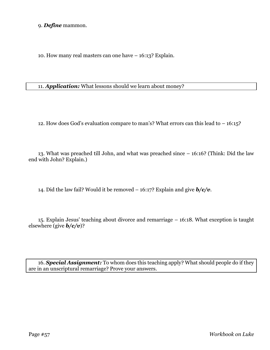9. *Define* mammon.

10. How many real masters can one have – 16:13? Explain.

11. *Application:* What lessons should we learn about money?

12. How does God's evaluation compare to man's? What errors can this lead to – 16:15?

13. What was preached till John, and what was preached since – 16:16? (Think: Did the law end with John? Explain.)

14. Did the law fail? Would it be removed – 16:17? Explain and give *b/c/v*.

15. Explain Jesus' teaching about divorce and remarriage – 16:18. What exception is taught elsewhere (give *b/c/v*)?

16. *Special Assignment:* To whom does this teaching apply? What should people do if they are in an unscriptural remarriage? Prove your answers.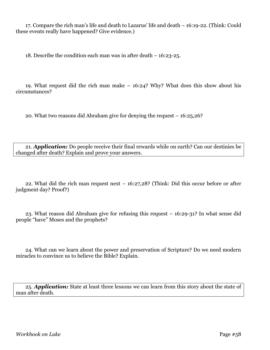17. Compare the rich man's life and death to Lazarus' life and death – 16:19-22. (Think: Could these events really have happened? Give evidence.)

18. Describe the condition each man was in after death – 16:23-25.

19. What request did the rich man make – 16:24? Why? What does this show about his circumstances?

20. What two reasons did Abraham give for denying the request – 16:25,26?

21. *Application:* Do people receive their final rewards while on earth? Can our destinies be changed after death? Explain and prove your answers.

22. What did the rich man request next – 16:27,28? (Think: Did this occur before or after judgment day? Proof?)

23. What reason did Abraham give for refusing this request – 16:29-31? In what sense did people "have" Moses and the prophets?

24. What can we learn about the power and preservation of Scripture? Do we need modern miracles to convince us to believe the Bible? Explain.

25. *Application:* State at least three lessons we can learn from this story about the state of man after death.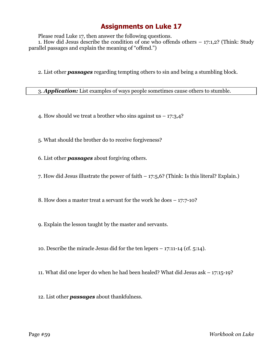Please read Luke 17, then answer the following questions.

1. How did Jesus describe the condition of one who offends others – 17:1,2? (Think: Study parallel passages and explain the meaning of "offend.")

2. List other *passages* regarding tempting others to sin and being a stumbling block.

3. *Application:* List examples of ways people sometimes cause others to stumble.

4. How should we treat a brother who sins against us  $-17:3,4$ ?

5. What should the brother do to receive forgiveness?

6. List other *passages* about forgiving others.

7. How did Jesus illustrate the power of faith – 17:5,6? (Think: Is this literal? Explain.)

8. How does a master treat a servant for the work he does – 17:7-10?

9. Explain the lesson taught by the master and servants.

10. Describe the miracle Jesus did for the ten lepers – 17:11-14 (cf. 5:14).

11. What did one leper do when he had been healed? What did Jesus ask – 17:15-19?

12. List other *passages* about thankfulness.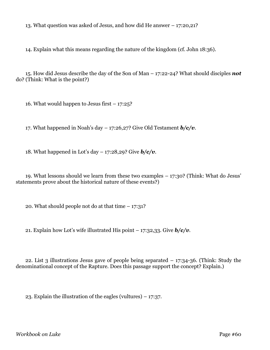13. What question was asked of Jesus, and how did He answer – 17:20,21?

14. Explain what this means regarding the nature of the kingdom (cf. John 18:36).

15. How did Jesus describe the day of the Son of Man – 17:22-24? What should disciples *not* do? (Think: What is the point?)

16. What would happen to Jesus first  $-17:25$ ?

17. What happened in Noah's day – 17:26,27? Give Old Testament *b/c/v*.

18. What happened in Lot's day – 17:28,29? Give *b/c/v*.

19. What lessons should we learn from these two examples – 17:30? (Think: What do Jesus' statements prove about the historical nature of these events?)

20. What should people not do at that time  $-17:31$ ?

21. Explain how Lot's wife illustrated His point  $-17:32,33$ . Give  $b/c/v$ .

22. List 3 illustrations Jesus gave of people being separated – 17:34-36. (Think: Study the denominational concept of the Rapture. Does this passage support the concept? Explain.)

23. Explain the illustration of the eagles (vultures) – 17:37.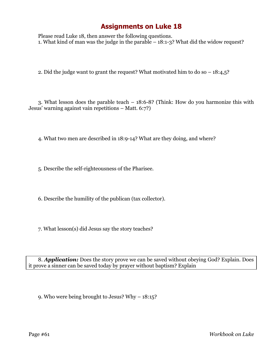Please read Luke 18, then answer the following questions. 1. What kind of man was the judge in the parable – 18:1-3? What did the widow request?

2. Did the judge want to grant the request? What motivated him to do so  $-18:4,5$ ?

3. What lesson does the parable teach – 18:6-8? (Think: How do you harmonize this with Jesus' warning against vain repetitions – Matt. 6:7?)

4. What two men are described in 18:9-14? What are they doing, and where?

5. Describe the self-righteousness of the Pharisee.

6. Describe the humility of the publican (tax collector).

7. What lesson(s) did Jesus say the story teaches?

8. *Application:* Does the story prove we can be saved without obeying God? Explain. Does it prove a sinner can be saved today by prayer without baptism? Explain

9. Who were being brought to Jesus? Why – 18:15?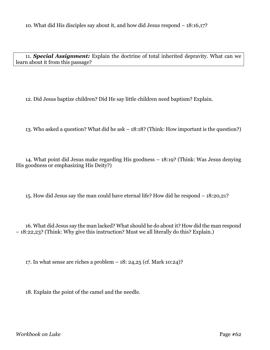11. *Special Assignment:* Explain the doctrine of total inherited depravity. What can we learn about it from this passage?

12. Did Jesus baptize children? Did He say little children need baptism? Explain.

13. Who asked a question? What did he ask – 18:18? (Think: How important is the question?)

14. What point did Jesus make regarding His goodness – 18:19? (Think: Was Jesus denying His goodness or emphasizing His Deity?)

15. How did Jesus say the man could have eternal life? How did he respond – 18:20,21?

16. What did Jesus say the man lacked? What should he do about it? How did the man respond – 18:22,23? (Think: Why give this instruction? Must we all literally do this? Explain.)

17. In what sense are riches a problem – 18: 24,25 (cf. Mark 10:24)?

18. Explain the point of the camel and the needle.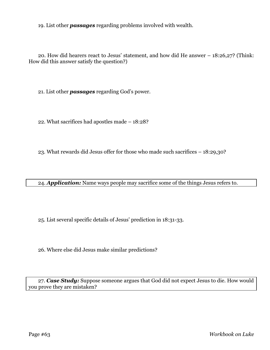19. List other *passages* regarding problems involved with wealth.

20. How did hearers react to Jesus' statement, and how did He answer – 18:26,27? (Think: How did this answer satisfy the question?)

21. List other *passages* regarding God's power.

22. What sacrifices had apostles made – 18:28?

23. What rewards did Jesus offer for those who made such sacrifices – 18:29,30?

24. *Application:* Name ways people may sacrifice some of the things Jesus refers to.

25. List several specific details of Jesus' prediction in 18:31-33.

26. Where else did Jesus make similar predictions?

27. *Case Study:* Suppose someone argues that God did not expect Jesus to die. How would you prove they are mistaken?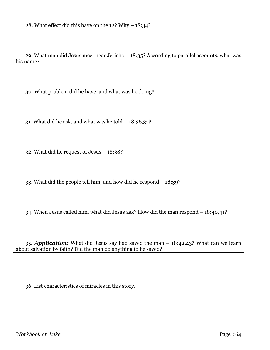28. What effect did this have on the 12? Why – 18:34?

29. What man did Jesus meet near Jericho – 18:35? According to parallel accounts, what was his name?

30. What problem did he have, and what was he doing?

31. What did he ask, and what was he told  $-18:36,37$ ?

32. What did he request of Jesus – 18:38?

33. What did the people tell him, and how did he respond – 18:39?

34. When Jesus called him, what did Jesus ask? How did the man respond – 18:40,41?

35. *Application:* What did Jesus say had saved the man – 18:42,43? What can we learn about salvation by faith? Did the man do anything to be saved?

36. List characteristics of miracles in this story.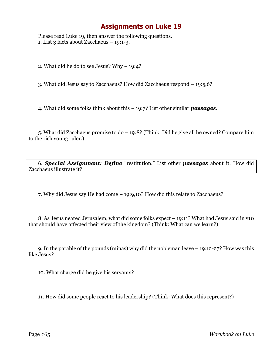Please read Luke 19, then answer the following questions. 1. List 3 facts about Zacchaeus – 19:1-3.

2. What did he do to see Jesus? Why – 19:4?

3. What did Jesus say to Zacchaeus? How did Zacchaeus respond – 19:5,6?

4. What did some folks think about this – 19:7? List other similar *passages*.

5. What did Zacchaeus promise to do – 19:8? (Think: Did he give all he owned? Compare him to the rich young ruler.)

6. *Special Assignment: Define* "restitution." List other *passages* about it. How did Zacchaeus illustrate it?

7. Why did Jesus say He had come – 19:9,10? How did this relate to Zacchaeus?

8. As Jesus neared Jerusalem, what did some folks expect – 19:11? What had Jesus said in v10 that should have affected their view of the kingdom? (Think: What can we learn?)

9. In the parable of the pounds (minas) why did the nobleman leave – 19:12-27? How was this like Jesus?

10. What charge did he give his servants?

11. How did some people react to his leadership? (Think: What does this represent?)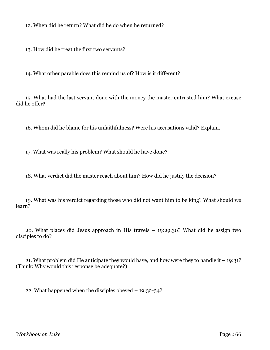12. When did he return? What did he do when he returned?

13. How did he treat the first two servants?

14. What other parable does this remind us of? How is it different?

15. What had the last servant done with the money the master entrusted him? What excuse did he offer?

16. Whom did he blame for his unfaithfulness? Were his accusations valid? Explain.

17. What was really his problem? What should he have done?

18. What verdict did the master reach about him? How did he justify the decision?

19. What was his verdict regarding those who did not want him to be king? What should we learn?

20. What places did Jesus approach in His travels – 19:29,30? What did he assign two disciples to do?

21. What problem did He anticipate they would have, and how were they to handle it  $-19:31$ ? (Think: Why would this response be adequate?)

22. What happened when the disciples obeyed – 19:32-34?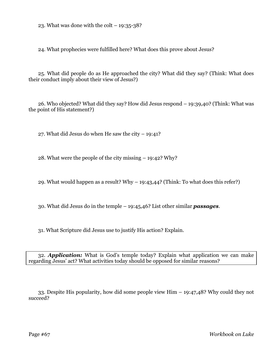23. What was done with the colt  $-19:35-38?$ 

24. What prophecies were fulfilled here? What does this prove about Jesus?

25. What did people do as He approached the city? What did they say? (Think: What does their conduct imply about their view of Jesus?)

26. Who objected? What did they say? How did Jesus respond – 19:39,40? (Think: What was the point of His statement?)

27. What did Jesus do when He saw the city  $-$  19:41?

28. What were the people of the city missing – 19:42? Why?

29. What would happen as a result? Why – 19:43,44? (Think: To what does this refer?)

30. What did Jesus do in the temple – 19:45,46? List other similar *passages*.

31. What Scripture did Jesus use to justify His action? Explain.

32. *Application:* What is God's temple today? Explain what application we can make regarding Jesus' act? What activities today should be opposed for similar reasons?

33. Despite His popularity, how did some people view Him – 19:47,48? Why could they not succeed?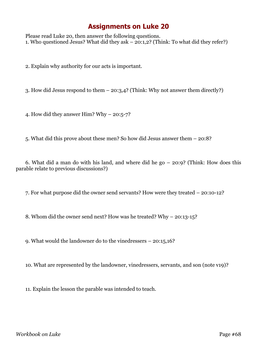Please read Luke 20, then answer the following questions. 1. Who questioned Jesus? What did they ask – 20:1,2? (Think: To what did they refer?)

2. Explain why authority for our acts is important.

3. How did Jesus respond to them – 20:3,4? (Think: Why not answer them directly?)

4. How did they answer Him? Why – 20:5-7?

5. What did this prove about these men? So how did Jesus answer them – 20:8?

6. What did a man do with his land, and where did he go – 20:9? (Think: How does this parable relate to previous discussions?)

7. For what purpose did the owner send servants? How were they treated – 20:10-12?

8. Whom did the owner send next? How was he treated? Why – 20:13-15?

9. What would the landowner do to the vinedressers – 20:15,16?

10. What are represented by the landowner, vinedressers, servants, and son (note v19)?

11. Explain the lesson the parable was intended to teach.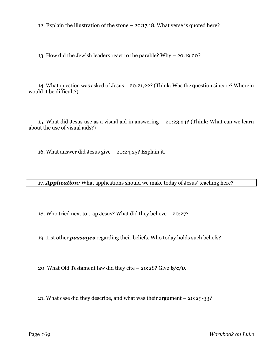12. Explain the illustration of the stone – 20:17,18. What verse is quoted here?

13. How did the Jewish leaders react to the parable? Why – 20:19,20?

14. What question was asked of Jesus – 20:21,22? (Think: Was the question sincere? Wherein would it be difficult?)

15. What did Jesus use as a visual aid in answering – 20:23,24? (Think: What can we learn about the use of visual aids?)

16. What answer did Jesus give – 20:24,25? Explain it.

17. *Application:* What applications should we make today of Jesus' teaching here?

18. Who tried next to trap Jesus? What did they believe – 20:27?

19. List other *passages* regarding their beliefs. Who today holds such beliefs?

20. What Old Testament law did they cite – 20:28? Give *b/c/v*.

21. What case did they describe, and what was their argument – 20:29-33?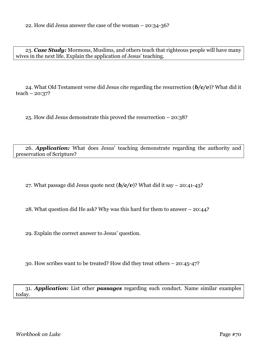23. *Case Study:* Mormons, Muslims, and others teach that righteous people will have many wives in the next life. Explain the application of Jesus' teaching.

24. What Old Testament verse did Jesus cite regarding the resurrection (*b/c/v*)? What did it  $teach - 20:37?$ 

25. How did Jesus demonstrate this proved the resurrection – 20:38?

26. *Application:* What does Jesus' teaching demonstrate regarding the authority and preservation of Scripture?

27. What passage did Jesus quote next  $(b/c/v)$ ? What did it say – 20:41-43?

28. What question did He ask? Why was this hard for them to answer – 20:44?

29. Explain the correct answer to Jesus' question.

30. How scribes want to be treated? How did they treat others – 20:45-47?

31. *Application:* List other *passages* regarding such conduct. Name similar examples today.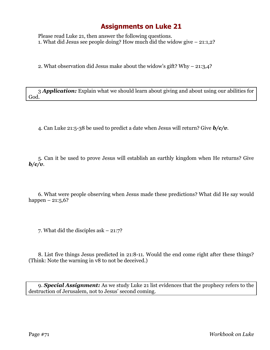Please read Luke 21, then answer the following questions. 1. What did Jesus see people doing? How much did the widow give – 21:1,2?

2. What observation did Jesus make about the widow's gift? Why – 21:3,4?

3 *Application:* Explain what we should learn about giving and about using our abilities for God.

4. Can Luke 21:5-38 be used to predict a date when Jesus will return? Give *b/c/v*.

5. Can it be used to prove Jesus will establish an earthly kingdom when He returns? Give *b/c/v*.

6. What were people observing when Jesus made these predictions? What did He say would happen –  $21:5,6?$ 

7. What did the disciples ask – 21:7?

8. List five things Jesus predicted in 21:8-11. Would the end come right after these things? (Think: Note the warning in v8 to not be deceived.)

9. *Special Assignment:* As we study Luke 21 list evidences that the prophecy refers to the destruction of Jerusalem, not to Jesus' second coming.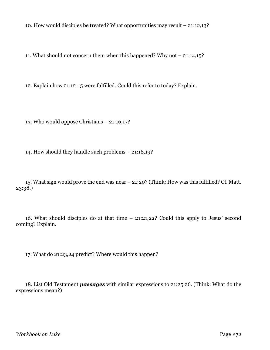10. How would disciples be treated? What opportunities may result – 21:12,13?

11. What should not concern them when this happened? Why not – 21:14,15?

12. Explain how 21:12-15 were fulfilled. Could this refer to today? Explain.

13. Who would oppose Christians – 21:16,17?

14. How should they handle such problems – 21:18,19?

15. What sign would prove the end was near – 21:20? (Think: How was this fulfilled? Cf. Matt. 23:38.)

16. What should disciples do at that time – 21:21,22? Could this apply to Jesus' second coming? Explain.

17. What do 21:23,24 predict? Where would this happen?

18. List Old Testament *passages* with similar expressions to 21:25,26. (Think: What do the expressions mean?)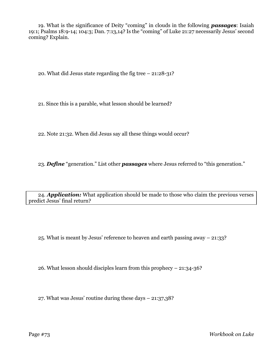19. What is the significance of Deity "coming" in clouds in the following *passages*: Isaiah 19:1; Psalms 18:9-14; 104:3; Dan. 7:13,14? Is the "coming" of Luke 21:27 necessarily Jesus' second coming? Explain.

20. What did Jesus state regarding the fig tree – 21:28-31?

21. Since this is a parable, what lesson should be learned?

22. Note 21:32. When did Jesus say all these things would occur?

23. *Define* "generation." List other *passages* where Jesus referred to "this generation."

24. *Application:* What application should be made to those who claim the previous verses predict Jesus' final return?

25. What is meant by Jesus' reference to heaven and earth passing away – 21:33?

26. What lesson should disciples learn from this prophecy – 21:34-36?

27. What was Jesus' routine during these days – 21:37,38?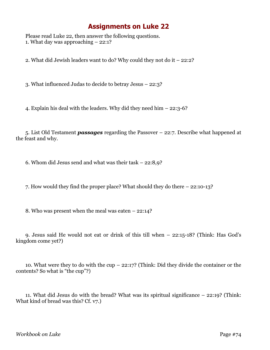## **Assignments on Luke 22**

Please read Luke 22, then answer the following questions. 1. What day was approaching – 22:1?

2. What did Jewish leaders want to do? Why could they not do it – 22:2?

3. What influenced Judas to decide to betray Jesus – 22:3?

4. Explain his deal with the leaders. Why did they need him – 22:3-6?

5. List Old Testament *passages* regarding the Passover – 22:7. Describe what happened at the feast and why.

6. Whom did Jesus send and what was their task – 22:8,9?

7. How would they find the proper place? What should they do there – 22:10-13?

8. Who was present when the meal was eaten – 22:14?

9. Jesus said He would not eat or drink of this till when – 22:15-18? (Think: Has God's kingdom come yet?)

10. What were they to do with the cup – 22:17? (Think: Did they divide the container or the contents? So what is "the cup"?)

11. What did Jesus do with the bread? What was its spiritual significance – 22:19? (Think: What kind of bread was this? Cf. v7.)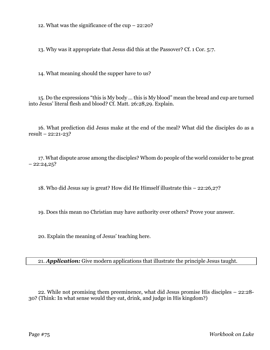12. What was the significance of the cup – 22:20?

13. Why was it appropriate that Jesus did this at the Passover? Cf. 1 Cor. 5:7.

14. What meaning should the supper have to us?

15. Do the expressions "this is My body … this is My blood" mean the bread and cup are turned into Jesus' literal flesh and blood? Cf. Matt. 26:28,29. Explain.

16. What prediction did Jesus make at the end of the meal? What did the disciples do as a result – 22:21-23?

17. What dispute arose among the disciples? Whom do people of the world consider to be great  $-22:24,25$ ?

18. Who did Jesus say is great? How did He Himself illustrate this – 22:26,27?

19. Does this mean no Christian may have authority over others? Prove your answer.

20. Explain the meaning of Jesus' teaching here.

21. *Application:* Give modern applications that illustrate the principle Jesus taught.

22. While not promising them preeminence, what did Jesus promise His disciples – 22:28- 30? (Think: In what sense would they eat, drink, and judge in His kingdom?)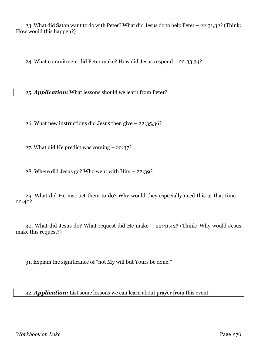23. What did Satan want to do with Peter? What did Jesus do to help Peter – 22:31,32? (Think: How would this happen?)

24. What commitment did Peter make? How did Jesus respond – 22:33,34?

25. *Application:* What lessons should we learn from Peter?

26. What new instructions did Jesus then give – 22:35,36?

27. What did He predict was coming – 22:37?

28. Where did Jesus go? Who went with Him – 22:39?

29. What did He instruct them to do? Why would they especially need this at that time – 22:40?

30. What did Jesus do? What request did He make – 22:41,42? (Think: Why would Jesus make this request?)

31. Explain the significance of "not My will but Yours be done."

32. *Application:* List some lessons we can learn about prayer from this event.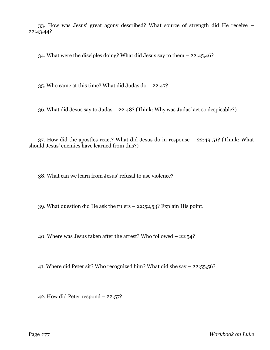33. How was Jesus' great agony described? What source of strength did He receive – 22:43,44?

34. What were the disciples doing? What did Jesus say to them – 22:45,46?

35. Who came at this time? What did Judas do – 22:47?

36. What did Jesus say to Judas – 22:48? (Think: Why was Judas' act so despicable?)

37. How did the apostles react? What did Jesus do in response – 22:49-51? (Think: What should Jesus' enemies have learned from this?)

38. What can we learn from Jesus' refusal to use violence?

39. What question did He ask the rulers – 22:52,53? Explain His point.

40. Where was Jesus taken after the arrest? Who followed – 22:54?

41. Where did Peter sit? Who recognized him? What did she say – 22:55,56?

42. How did Peter respond – 22:57?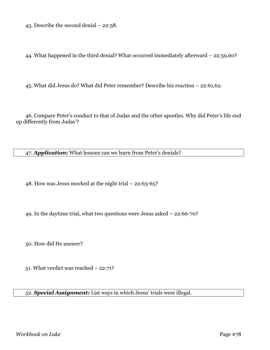43. Describe the second denial – 22:58.

44. What happened in the third denial? What occurred immediately afterward – 22:59,60?

45. What did Jesus do? What did Peter remember? Describe his reaction – 22:61,62.

46. Compare Peter's conduct to that of Judas and the other apostles. Why did Peter's life end up differently from Judas'?

47. *Application:* What lessons can we learn from Peter's denials?

48. How was Jesus mocked at the night trial – 22:63-65?

49. In the daytime trial, what two questions were Jesus asked – 22:66-70?

50. How did He answer?

51. What verdict was reached – 22:71?

## 52. *Special Assignment:* List ways in which Jesus' trials were illegal.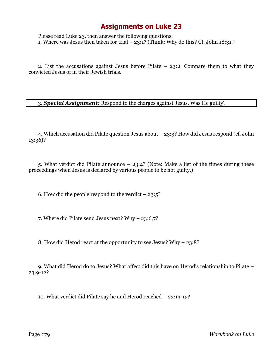## **Assignments on Luke 23**

Please read Luke 23, then answer the following questions. 1. Where was Jesus then taken for trial  $-$  23:1? (Think: Why do this? Cf. John 18:31.)

2. List the accusations against Jesus before Pilate – 23:2. Compare them to what they convicted Jesus of in their Jewish trials.

3. *Special Assignment:* Respond to the charges against Jesus. Was He guilty?

4. Which accusation did Pilate question Jesus about – 23:3? How did Jesus respond (cf. John 13:36)?

5. What verdict did Pilate announce – 23:4? (Note: Make a list of the times during these proceedings when Jesus is declared by various people to be not guilty.)

6. How did the people respond to the verdict  $-23:5$ ?

7. Where did Pilate send Jesus next? Why – 23:6,7?

8. How did Herod react at the opportunity to see Jesus? Why – 23:8?

9. What did Herod do to Jesus? What affect did this have on Herod's relationship to Pilate – 23:9-12?

10. What verdict did Pilate say he and Herod reached – 23:13-15?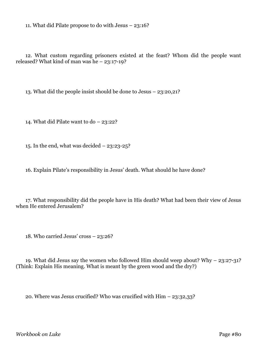11. What did Pilate propose to do with Jesus – 23:16?

12. What custom regarding prisoners existed at the feast? Whom did the people want released? What kind of man was he – 23:17-19?

13. What did the people insist should be done to Jesus – 23:20,21?

14. What did Pilate want to do – 23:22?

15. In the end, what was decided – 23:23-25?

16. Explain Pilate's responsibility in Jesus' death. What should he have done?

17. What responsibility did the people have in His death? What had been their view of Jesus when He entered Jerusalem?

18. Who carried Jesus' cross – 23:26?

19. What did Jesus say the women who followed Him should weep about? Why – 23:27-31? (Think: Explain His meaning. What is meant by the green wood and the dry?)

20. Where was Jesus crucified? Who was crucified with Him – 23:32,33?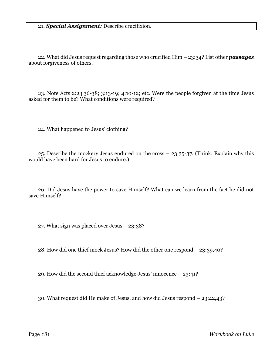22. What did Jesus request regarding those who crucified Him – 23:34? List other *passages* about forgiveness of others.

23. Note Acts 2:23,36-38; 3:13-19; 4:10-12; etc. Were the people forgiven at the time Jesus asked for them to be? What conditions were required?

24. What happened to Jesus' clothing?

25. Describe the mockery Jesus endured on the cross – 23:35-37. (Think: Explain why this would have been hard for Jesus to endure.)

26. Did Jesus have the power to save Himself? What can we learn from the fact he did not save Himself?

27. What sign was placed over Jesus – 23:38?

28. How did one thief mock Jesus? How did the other one respond – 23:39,40?

29. How did the second thief acknowledge Jesus' innocence – 23:41?

30. What request did He make of Jesus, and how did Jesus respond – 23:42,43?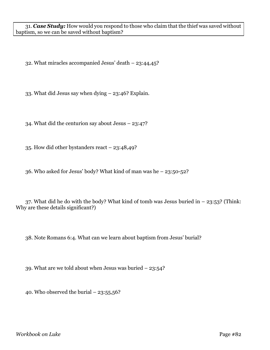31. *Case Study:* How would you respond to those who claim that the thief was saved without baptism, so we can be saved without baptism?

32. What miracles accompanied Jesus' death – 23:44,45?

33. What did Jesus say when dying – 23:46? Explain.

34. What did the centurion say about Jesus – 23:47?

35. How did other bystanders react – 23:48,49?

36. Who asked for Jesus' body? What kind of man was he – 23:50-52?

37. What did he do with the body? What kind of tomb was Jesus buried in  $-$  23:53? (Think: Why are these details significant?)

38. Note Romans 6:4. What can we learn about baptism from Jesus' burial?

39. What are we told about when Jesus was buried – 23:54?

40. Who observed the burial  $-23:55,56$ ?

*Workbook on Luke* Page #82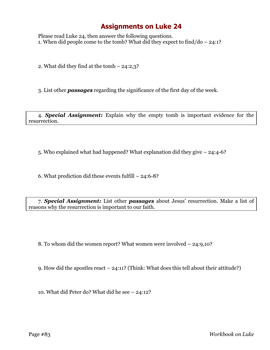## **Assignments on Luke 24**

Please read Luke 24, then answer the following questions. 1. When did people come to the tomb? What did they expect to find/do – 24:1?

2. What did they find at the tomb – 24:2,3?

3. List other *passages* regarding the significance of the first day of the week.

4. *Special Assignment:* Explain why the empty tomb is important evidence for the resurrection.

5. Who explained what had happened? What explanation did they give – 24:4-6?

6. What prediction did these events fulfill – 24:6-8?

7. *Special Assignment:* List other *passages* about Jesus' resurrection. Make a list of reasons why the resurrection is important to our faith.

8. To whom did the women report? What women were involved – 24:9,10?

9. How did the apostles react – 24:11? (Think: What does this tell about their attitude?)

10. What did Peter do? What did he see – 24:12?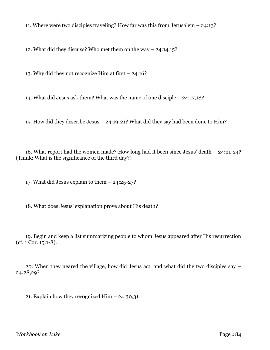11. Where were two disciples traveling? How far was this from Jerusalem – 24:13?

12. What did they discuss? Who met them on the way – 24:14,15?

13. Why did they not recognize Him at first – 24:16?

14. What did Jesus ask them? What was the name of one disciple – 24:17,18?

15. How did they describe Jesus – 24:19-21? What did they say had been done to Him?

16. What report had the women made? How long had it been since Jesus' death – 24:21-24? (Think: What is the significance of the third day?)

17. What did Jesus explain to them – 24:25-27?

18. What does Jesus' explanation prove about His death?

19. Begin and keep a list summarizing people to whom Jesus appeared after His resurrection (cf. 1 Cor. 15:1-8).

20. When they neared the village, how did Jesus act, and what did the two disciples say – 24:28,29?

21. Explain how they recognized  $\text{Him} - 24:30,31$ .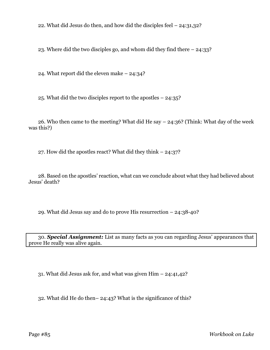22. What did Jesus do then, and how did the disciples feel – 24:31,32?

23. Where did the two disciples go, and whom did they find there – 24:33?

24. What report did the eleven make – 24:34?

25. What did the two disciples report to the apostles – 24:35?

26. Who then came to the meeting? What did He say  $-$  24:36? (Think: What day of the week was this?)

27. How did the apostles react? What did they think – 24:37?

28. Based on the apostles' reaction, what can we conclude about what they had believed about Jesus' death?

29. What did Jesus say and do to prove His resurrection – 24:38-40?

30. *Special Assignment:* List as many facts as you can regarding Jesus' appearances that prove He really was alive again.

31. What did Jesus ask for, and what was given Him – 24:41,42?

32. What did He do then– 24:43? What is the significance of this?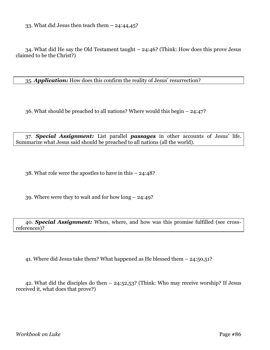33. What did Jesus then teach them  $-24:44,45$ ?

34. What did He say the Old Testament taught – 24:46? (Think: How does this prove Jesus claimed to be the Christ?)

35. *Application:* How does this confirm the reality of Jesus' resurrection?

36. What should be preached to all nations? Where would this begin – 24:47?

37. *Special Assignment:* List parallel *passages* in other accounts of Jesus' life. Summarize what Jesus said should be preached to all nations (all the world).

38. What role were the apostles to have in this – 24:48?

39. Where were they to wait and for how long – 24:49?

40. *Special Assignment:* When, where, and how was this promise fulfilled (see crossreferences)?

41. Where did Jesus take them? What happened as He blessed them – 24:50,51?

42. What did the disciples do then – 24:52,53? (Think: Who may receive worship? If Jesus received it, what does that prove?)